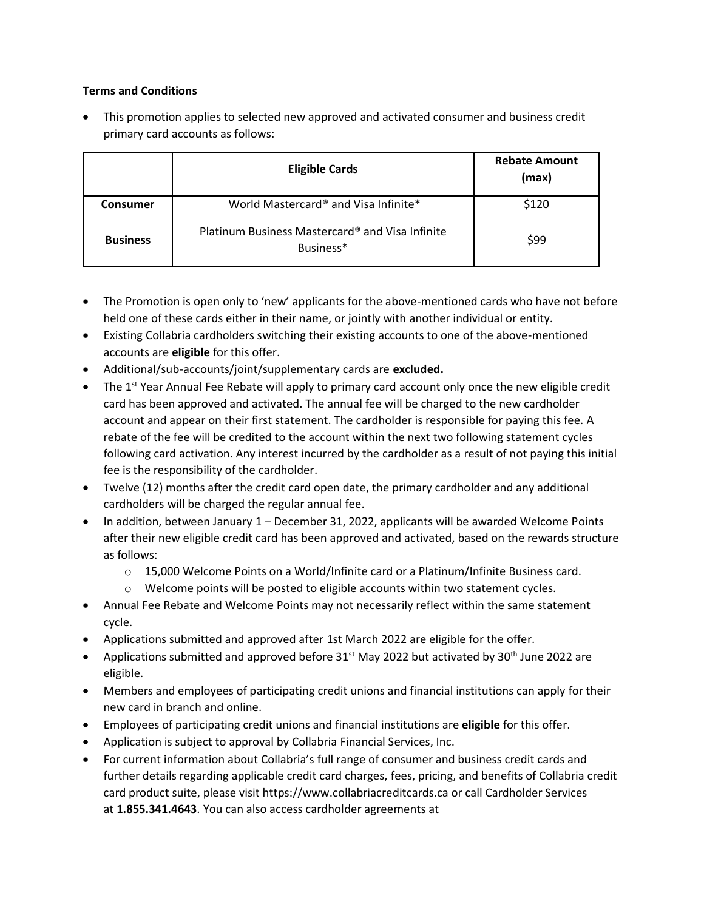## **Terms and Conditions**

• This promotion applies to selected new approved and activated consumer and business credit primary card accounts as follows:

|                 | <b>Eligible Cards</b>                                        | <b>Rebate Amount</b><br>(max) |
|-----------------|--------------------------------------------------------------|-------------------------------|
| Consumer        | World Mastercard <sup>®</sup> and Visa Infinite*             | \$120                         |
| <b>Business</b> | Platinum Business Mastercard® and Visa Infinite<br>Business* | \$99                          |

- The Promotion is open only to 'new' applicants for the above-mentioned cards who have not before held one of these cards either in their name, or jointly with another individual or entity.
- Existing Collabria cardholders switching their existing accounts to one of the above-mentioned accounts are **eligible** for this offer.
- Additional/sub-accounts/joint/supplementary cards are **excluded.**
- The 1<sup>st</sup> Year Annual Fee Rebate will apply to primary card account only once the new eligible credit card has been approved and activated. The annual fee will be charged to the new cardholder account and appear on their first statement. The cardholder is responsible for paying this fee. A rebate of the fee will be credited to the account within the next two following statement cycles following card activation. Any interest incurred by the cardholder as a result of not paying this initial fee is the responsibility of the cardholder.
- Twelve (12) months after the credit card open date, the primary cardholder and any additional cardholders will be charged the regular annual fee.
- In addition, between January 1 December 31, 2022, applicants will be awarded Welcome Points after their new eligible credit card has been approved and activated, based on the rewards structure as follows:
	- $\circ$  15,000 Welcome Points on a World/Infinite card or a Platinum/Infinite Business card.
	- $\circ$  Welcome points will be posted to eligible accounts within two statement cycles.
- Annual Fee Rebate and Welcome Points may not necessarily reflect within the same statement cycle.
- Applications submitted and approved after 1st March 2022 are eligible for the offer.
- Applications submitted and approved before  $31^{st}$  May 2022 but activated by 30<sup>th</sup> June 2022 are eligible.
- Members and employees of participating credit unions and financial institutions can apply for their new card in branch and online.
- Employees of participating credit unions and financial institutions are **eligible** for this offer.
- Application is subject to approval by Collabria Financial Services, Inc.
- For current information about Collabria's full range of consumer and business credit cards and further details regarding applicable credit card charges, fees, pricing, and benefits of Collabria credit card product suite, please visit https://www.collabriacreditcards.ca or call Cardholder Services at **1.855.341.4643**. You can also access cardholder agreements at